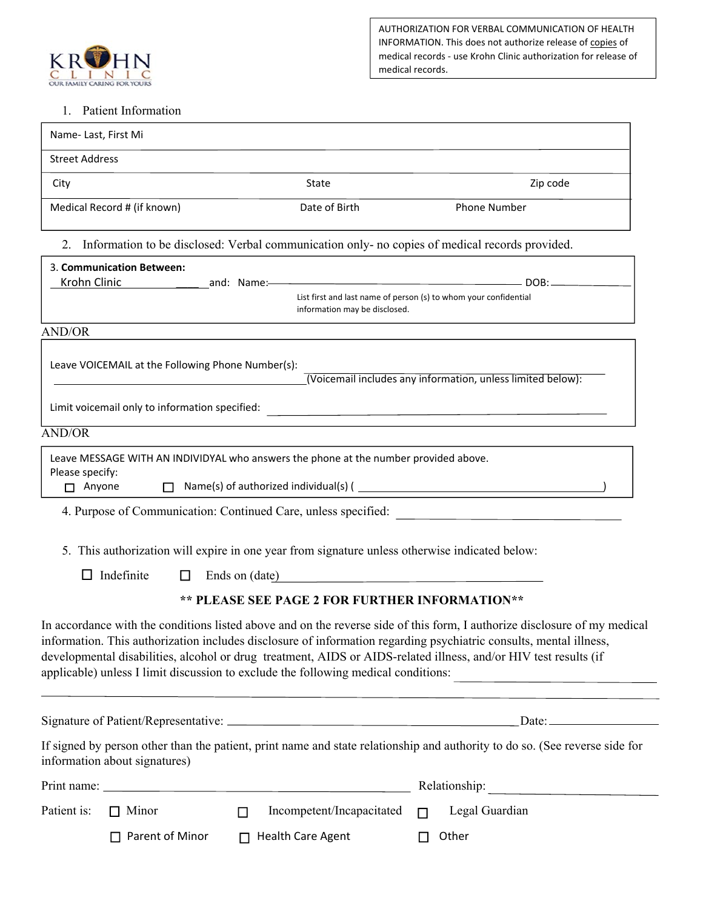

AUTHORIZATION FOR VERBAL COMMUNICATION OF HEALTH INFORMATION. This does not authorize release of copies of medical records ‐ use Krohn Clinic authorization for release of medical records.

## 1. Patient Information

| <b>Street Address</b><br>State<br>Zip code<br>City<br>Medical Record # (if known)<br>Date of Birth<br><b>Phone Number</b><br>2. Information to be disclosed: Verbal communication only- no copies of medical records provided.<br>3. Communication Between:<br>Krohn Clinic <b>And American According to the Clinic Contract According Contract According Contract According Contract According Contract According Contract According Contract According Contract According Contract According </b><br>List first and last name of person (s) to whom your confidential<br>information may be disclosed.<br><b>AND/OR</b><br>Leave VOICEMAIL at the Following Phone Number(s):<br>(Voicemail includes any information, unless limited below):<br>Limit voicemail only to information specified:<br>The manufactured content of the content of the content of the content of the content of the content of the content of the content of the content of the content of the content<br>Leave MESSAGE WITH AN INDIVIDYAL who answers the phone at the number provided above.<br>Please specify:<br>□ Anyone □ Name(s) of authorized individual(s) ( _______________________________<br>4. Purpose of Communication: Continued Care, unless specified:<br>5. This authorization will expire in one year from signature unless otherwise indicated below:<br>$\Box$ Indefinite<br>Ends on (date)<br>$\Box$<br>** PLEASE SEE PAGE 2 FOR FURTHER INFORMATION**<br>Legal Guardian<br>$\Box$ Minor<br>Incompetent/Incapacitated<br>$\Box$<br>П.<br>$\Box$ Parent of Minor<br>$\Box$ Health Care Agent<br>Other<br>П | Name- Last, First Mi |  |  |  |  |                                                                                                                      |  |
|------------------------------------------------------------------------------------------------------------------------------------------------------------------------------------------------------------------------------------------------------------------------------------------------------------------------------------------------------------------------------------------------------------------------------------------------------------------------------------------------------------------------------------------------------------------------------------------------------------------------------------------------------------------------------------------------------------------------------------------------------------------------------------------------------------------------------------------------------------------------------------------------------------------------------------------------------------------------------------------------------------------------------------------------------------------------------------------------------------------------------------------------------------------------------------------------------------------------------------------------------------------------------------------------------------------------------------------------------------------------------------------------------------------------------------------------------------------------------------------------------------------------------------------------------------------------------------------------------------|----------------------|--|--|--|--|----------------------------------------------------------------------------------------------------------------------|--|
|                                                                                                                                                                                                                                                                                                                                                                                                                                                                                                                                                                                                                                                                                                                                                                                                                                                                                                                                                                                                                                                                                                                                                                                                                                                                                                                                                                                                                                                                                                                                                                                                            |                      |  |  |  |  |                                                                                                                      |  |
|                                                                                                                                                                                                                                                                                                                                                                                                                                                                                                                                                                                                                                                                                                                                                                                                                                                                                                                                                                                                                                                                                                                                                                                                                                                                                                                                                                                                                                                                                                                                                                                                            |                      |  |  |  |  |                                                                                                                      |  |
|                                                                                                                                                                                                                                                                                                                                                                                                                                                                                                                                                                                                                                                                                                                                                                                                                                                                                                                                                                                                                                                                                                                                                                                                                                                                                                                                                                                                                                                                                                                                                                                                            |                      |  |  |  |  |                                                                                                                      |  |
|                                                                                                                                                                                                                                                                                                                                                                                                                                                                                                                                                                                                                                                                                                                                                                                                                                                                                                                                                                                                                                                                                                                                                                                                                                                                                                                                                                                                                                                                                                                                                                                                            |                      |  |  |  |  |                                                                                                                      |  |
|                                                                                                                                                                                                                                                                                                                                                                                                                                                                                                                                                                                                                                                                                                                                                                                                                                                                                                                                                                                                                                                                                                                                                                                                                                                                                                                                                                                                                                                                                                                                                                                                            |                      |  |  |  |  |                                                                                                                      |  |
|                                                                                                                                                                                                                                                                                                                                                                                                                                                                                                                                                                                                                                                                                                                                                                                                                                                                                                                                                                                                                                                                                                                                                                                                                                                                                                                                                                                                                                                                                                                                                                                                            |                      |  |  |  |  |                                                                                                                      |  |
|                                                                                                                                                                                                                                                                                                                                                                                                                                                                                                                                                                                                                                                                                                                                                                                                                                                                                                                                                                                                                                                                                                                                                                                                                                                                                                                                                                                                                                                                                                                                                                                                            |                      |  |  |  |  |                                                                                                                      |  |
| <b>AND/OR</b><br>In accordance with the conditions listed above and on the reverse side of this form, I authorize disclosure of my medical<br>information. This authorization includes disclosure of information regarding psychiatric consults, mental illness,<br>developmental disabilities, alcohol or drug treatment, AIDS or AIDS-related illness, and/or HIV test results (if<br>applicable) unless I limit discussion to exclude the following medical conditions:<br>If signed by person other than the patient, print name and state relationship and authority to do so. (See reverse side for<br>information about signatures)<br>Patient is:                                                                                                                                                                                                                                                                                                                                                                                                                                                                                                                                                                                                                                                                                                                                                                                                                                                                                                                                                  |                      |  |  |  |  |                                                                                                                      |  |
|                                                                                                                                                                                                                                                                                                                                                                                                                                                                                                                                                                                                                                                                                                                                                                                                                                                                                                                                                                                                                                                                                                                                                                                                                                                                                                                                                                                                                                                                                                                                                                                                            |                      |  |  |  |  |                                                                                                                      |  |
|                                                                                                                                                                                                                                                                                                                                                                                                                                                                                                                                                                                                                                                                                                                                                                                                                                                                                                                                                                                                                                                                                                                                                                                                                                                                                                                                                                                                                                                                                                                                                                                                            |                      |  |  |  |  |                                                                                                                      |  |
|                                                                                                                                                                                                                                                                                                                                                                                                                                                                                                                                                                                                                                                                                                                                                                                                                                                                                                                                                                                                                                                                                                                                                                                                                                                                                                                                                                                                                                                                                                                                                                                                            |                      |  |  |  |  |                                                                                                                      |  |
|                                                                                                                                                                                                                                                                                                                                                                                                                                                                                                                                                                                                                                                                                                                                                                                                                                                                                                                                                                                                                                                                                                                                                                                                                                                                                                                                                                                                                                                                                                                                                                                                            |                      |  |  |  |  |                                                                                                                      |  |
|                                                                                                                                                                                                                                                                                                                                                                                                                                                                                                                                                                                                                                                                                                                                                                                                                                                                                                                                                                                                                                                                                                                                                                                                                                                                                                                                                                                                                                                                                                                                                                                                            |                      |  |  |  |  |                                                                                                                      |  |
|                                                                                                                                                                                                                                                                                                                                                                                                                                                                                                                                                                                                                                                                                                                                                                                                                                                                                                                                                                                                                                                                                                                                                                                                                                                                                                                                                                                                                                                                                                                                                                                                            |                      |  |  |  |  |                                                                                                                      |  |
|                                                                                                                                                                                                                                                                                                                                                                                                                                                                                                                                                                                                                                                                                                                                                                                                                                                                                                                                                                                                                                                                                                                                                                                                                                                                                                                                                                                                                                                                                                                                                                                                            |                      |  |  |  |  |                                                                                                                      |  |
|                                                                                                                                                                                                                                                                                                                                                                                                                                                                                                                                                                                                                                                                                                                                                                                                                                                                                                                                                                                                                                                                                                                                                                                                                                                                                                                                                                                                                                                                                                                                                                                                            |                      |  |  |  |  | <u> 1980 - Andrea State Barbara, político e a contra de la contra de la contra de la contra de la contra de la c</u> |  |
|                                                                                                                                                                                                                                                                                                                                                                                                                                                                                                                                                                                                                                                                                                                                                                                                                                                                                                                                                                                                                                                                                                                                                                                                                                                                                                                                                                                                                                                                                                                                                                                                            |                      |  |  |  |  |                                                                                                                      |  |
|                                                                                                                                                                                                                                                                                                                                                                                                                                                                                                                                                                                                                                                                                                                                                                                                                                                                                                                                                                                                                                                                                                                                                                                                                                                                                                                                                                                                                                                                                                                                                                                                            |                      |  |  |  |  |                                                                                                                      |  |
|                                                                                                                                                                                                                                                                                                                                                                                                                                                                                                                                                                                                                                                                                                                                                                                                                                                                                                                                                                                                                                                                                                                                                                                                                                                                                                                                                                                                                                                                                                                                                                                                            |                      |  |  |  |  |                                                                                                                      |  |
|                                                                                                                                                                                                                                                                                                                                                                                                                                                                                                                                                                                                                                                                                                                                                                                                                                                                                                                                                                                                                                                                                                                                                                                                                                                                                                                                                                                                                                                                                                                                                                                                            |                      |  |  |  |  |                                                                                                                      |  |
|                                                                                                                                                                                                                                                                                                                                                                                                                                                                                                                                                                                                                                                                                                                                                                                                                                                                                                                                                                                                                                                                                                                                                                                                                                                                                                                                                                                                                                                                                                                                                                                                            |                      |  |  |  |  |                                                                                                                      |  |